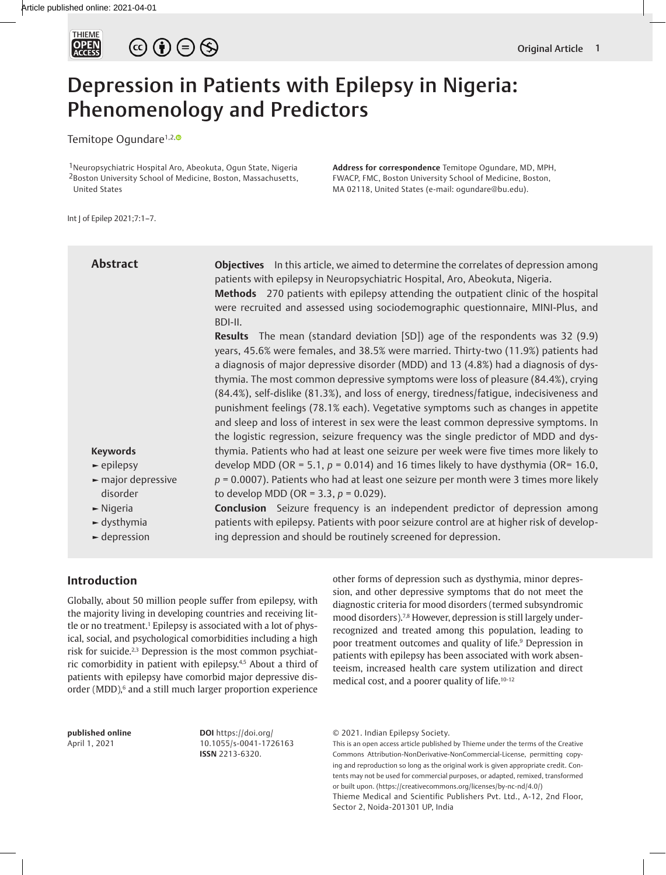

# $\circledcirc \bullet \circledcirc \circledcirc$

## Depression in Patients with Epilepsy in Nigeria: Phenomenology and Predictors

Temitope Ogundare<sup>1,2,<sup>o</sup></sup>

1Neuropsychiatric Hospital Aro, Abeokuta, Ogun State, Nigeria 2Boston University School of Medicine, Boston, Massachusetts, United States

**Address for correspondence** Temitope Ogundare, MD, MPH, FWACP, FMC, Boston University School of Medicine, Boston, MA 02118, United States (e-mail: ogundare@bu.edu).

Int J of Epilep 2021;7:1–7.

| <b>Abstract</b>                        | <b>Objectives</b> In this article, we aimed to determine the correlates of depression among<br>patients with epilepsy in Neuropsychiatric Hospital, Aro, Abeokuta, Nigeria.<br>Methods 270 patients with epilepsy attending the outpatient clinic of the hospital<br>were recruited and assessed using sociodemographic questionnaire, MINI-Plus, and<br>BDI-II.                                                                                                                                                                                                                                                                                                                                                                                                                                                 |
|----------------------------------------|------------------------------------------------------------------------------------------------------------------------------------------------------------------------------------------------------------------------------------------------------------------------------------------------------------------------------------------------------------------------------------------------------------------------------------------------------------------------------------------------------------------------------------------------------------------------------------------------------------------------------------------------------------------------------------------------------------------------------------------------------------------------------------------------------------------|
| <b>Keywords</b>                        | <b>Results</b> The mean (standard deviation [SD]) age of the respondents was 32 (9.9)<br>years, 45.6% were females, and 38.5% were married. Thirty-two (11.9%) patients had<br>a diagnosis of major depressive disorder (MDD) and 13 (4.8%) had a diagnosis of dys-<br>thymia. The most common depressive symptoms were loss of pleasure (84.4%), crying<br>(84.4%), self-dislike (81.3%), and loss of energy, tiredness/fatigue, indecisiveness and<br>punishment feelings (78.1% each). Vegetative symptoms such as changes in appetite<br>and sleep and loss of interest in sex were the least common depressive symptoms. In<br>the logistic regression, seizure frequency was the single predictor of MDD and dys-<br>thymia. Patients who had at least one seizure per week were five times more likely to |
| $\blacktriangleright$ epilepsy         | develop MDD (OR = 5.1, $p = 0.014$ ) and 16 times likely to have dysthymia (OR= 16.0,                                                                                                                                                                                                                                                                                                                                                                                                                                                                                                                                                                                                                                                                                                                            |
| $\blacktriangleright$ major depressive | $p = 0.0007$ ). Patients who had at least one seizure per month were 3 times more likely                                                                                                                                                                                                                                                                                                                                                                                                                                                                                                                                                                                                                                                                                                                         |
| disorder                               | to develop MDD (OR = 3.3, $p = 0.029$ ).                                                                                                                                                                                                                                                                                                                                                                                                                                                                                                                                                                                                                                                                                                                                                                         |
| $\blacktriangleright$ Nigeria          | <b>Conclusion</b> Seizure frequency is an independent predictor of depression among                                                                                                                                                                                                                                                                                                                                                                                                                                                                                                                                                                                                                                                                                                                              |
| $\blacktriangleright$ dysthymia        | patients with epilepsy. Patients with poor seizure control are at higher risk of develop-                                                                                                                                                                                                                                                                                                                                                                                                                                                                                                                                                                                                                                                                                                                        |
| $\blacktriangleright$ depression       | ing depression and should be routinely screened for depression.                                                                                                                                                                                                                                                                                                                                                                                                                                                                                                                                                                                                                                                                                                                                                  |

## **Introduction**

Globally, about 50 million people suffer from epilepsy, with the majority living in developing countries and receiving little or no treatment.<sup>1</sup> Epilepsy is associated with a lot of physical, social, and psychological comorbidities including a high risk for suicide.2,3 Depression is the most common psychiatric comorbidity in patient with epilepsy.4,5 About a third of patients with epilepsy have comorbid major depressive disorder (MDD),<sup>6</sup> and a still much larger proportion experience other forms of depression such as dysthymia, minor depression, and other depressive symptoms that do not meet the diagnostic criteria for mood disorders (termed subsyndromic mood disorders).<sup>7,8</sup> However, depression is still largely underrecognized and treated among this population, leading to poor treatment outcomes and quality of life.<sup>9</sup> Depression in patients with epilepsy has been associated with work absenteeism, increased health care system utilization and direct medical cost, and a poorer quality of life.10-12

**published online** April 1, 2021

**DOI** https://doi.org/ 10.1055/s-0041-1726163 **ISSN** 2213-6320.

© 2021. Indian Epilepsy Society.

This is an open access article published by Thieme under the terms of the Creative Commons Attribution-NonDerivative-NonCommercial-License, permitting copying and reproduction so long as the original work is given appropriate credit. Contents may not be used for commercial purposes, or adapted, remixed, transformed or built upon. (https://creativecommons.org/licenses/by-nc-nd/4.0/) Thieme Medical and Scientific Publishers Pvt. Ltd., A-12, 2nd Floor, Sector 2, Noida-201301 UP, India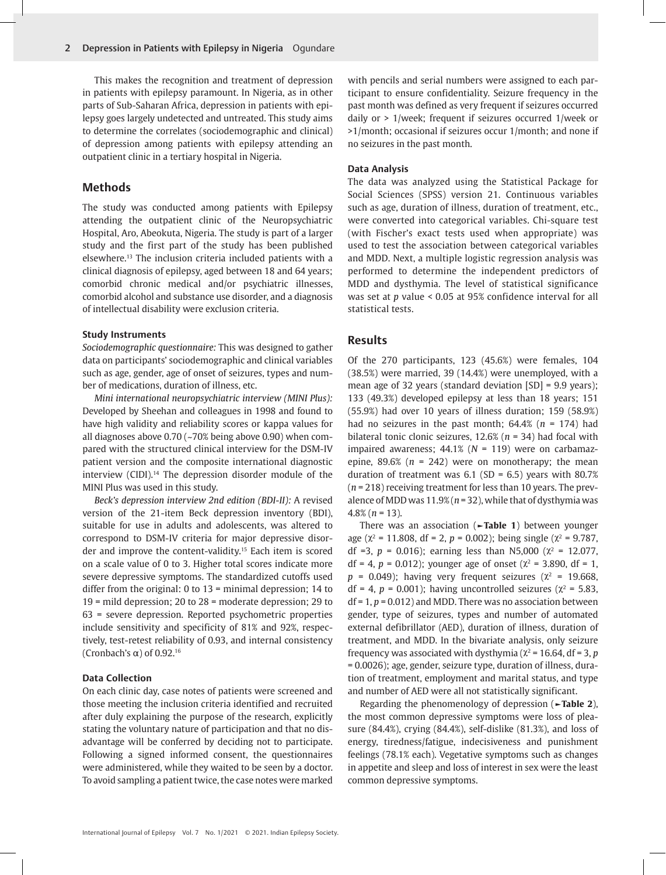This makes the recognition and treatment of depression in patients with epilepsy paramount. In Nigeria, as in other parts of Sub-Saharan Africa, depression in patients with epilepsy goes largely undetected and untreated. This study aims to determine the correlates (sociodemographic and clinical) of depression among patients with epilepsy attending an outpatient clinic in a tertiary hospital in Nigeria.

## **Methods**

The study was conducted among patients with Epilepsy attending the outpatient clinic of the Neuropsychiatric Hospital, Aro, Abeokuta, Nigeria. The study is part of a larger study and the first part of the study has been published elsewhere.13 The inclusion criteria included patients with a clinical diagnosis of epilepsy, aged between 18 and 64 years; comorbid chronic medical and/or psychiatric illnesses, comorbid alcohol and substance use disorder, and a diagnosis of intellectual disability were exclusion criteria.

#### **Study Instruments**

*Sociodemographic questionnaire:* This was designed to gather data on participants' sociodemographic and clinical variables such as age, gender, age of onset of seizures, types and number of medications, duration of illness, etc.

*Mini international neuropsychiatric interview (MINI Plus):* Developed by Sheehan and colleagues in 1998 and found to have high validity and reliability scores or kappa values for all diagnoses above 0.70 (~70% being above 0.90) when compared with the structured clinical interview for the DSM-IV patient version and the composite international diagnostic interview (CIDI).14 The depression disorder module of the MINI Plus was used in this study.

*Beck's depression interview 2nd edition (BDI-II):* A revised version of the 21-item Beck depression inventory (BDI), suitable for use in adults and adolescents, was altered to correspond to DSM-IV criteria for major depressive disorder and improve the content-validity.15 Each item is scored on a scale value of 0 to 3. Higher total scores indicate more severe depressive symptoms. The standardized cutoffs used differ from the original: 0 to 13 = minimal depression; 14 to 19 = mild depression; 20 to 28 = moderate depression; 29 to 63 = severe depression. Reported psychometric properties include sensitivity and specificity of 81% and 92%, respectively, test-retest reliability of 0.93, and internal consistency (Cronbach's  $\alpha$ ) of 0.92.<sup>16</sup>

### **Data Collection**

On each clinic day, case notes of patients were screened and those meeting the inclusion criteria identified and recruited after duly explaining the purpose of the research, explicitly stating the voluntary nature of participation and that no disadvantage will be conferred by deciding not to participate. Following a signed informed consent, the questionnaires were administered, while they waited to be seen by a doctor. To avoid sampling a patient twice, the case notes were marked

with pencils and serial numbers were assigned to each participant to ensure confidentiality. Seizure frequency in the past month was defined as very frequent if seizures occurred daily or > 1/week; frequent if seizures occurred 1/week or >1/month; occasional if seizures occur 1/month; and none if no seizures in the past month.

#### **Data Analysis**

The data was analyzed using the Statistical Package for Social Sciences (SPSS) version 21. Continuous variables such as age, duration of illness, duration of treatment, etc., were converted into categorical variables. Chi-square test (with Fischer's exact tests used when appropriate) was used to test the association between categorical variables and MDD. Next, a multiple logistic regression analysis was performed to determine the independent predictors of MDD and dysthymia. The level of statistical significance was set at *p* value < 0.05 at 95% confidence interval for all statistical tests.

## **Results**

Of the 270 participants, 123 (45.6%) were females, 104 (38.5%) were married, 39 (14.4%) were unemployed, with a mean age of 32 years (standard deviation [SD] = 9.9 years); 133 (49.3%) developed epilepsy at less than 18 years; 151 (55.9%) had over 10 years of illness duration; 159 (58.9%) had no seizures in the past month; 64.4% (*n* = 174) had bilateral tonic clonic seizures, 12.6% (*n* = 34) had focal with impaired awareness; 44.1% (*N* = 119) were on carbamazepine,  $89.6\%$  ( $n = 242$ ) were on monotherapy; the mean duration of treatment was  $6.1$  (SD =  $6.5$ ) years with 80.7% (*n* = 218) receiving treatment for less than 10 years. The prevalence of MDD was 11.9% (*n* = 32), while that of dysthymia was 4.8% (*n* = 13).

There was an association (**►Table 1**) between younger age ( $\chi^2$  = 11.808, df = 2, p = 0.002); being single ( $\chi^2$  = 9.787, df =3,  $p = 0.016$ ); earning less than N5,000 ( $\chi^2 = 12.077$ , df = 4,  $p = 0.012$ ); younger age of onset ( $\chi^2$  = 3.890, df = 1,  $p = 0.049$ ); having very frequent seizures ( $\chi^2 = 19.668$ , df = 4,  $p$  = 0.001); having uncontrolled seizures ( $\chi^2$  = 5.83, df = 1, *p* = 0.012) and MDD. There was no association between gender, type of seizures, types and number of automated external defibrillator (AED), duration of illness, duration of treatment, and MDD. In the bivariate analysis, only seizure frequency was associated with dysthymia ( $\chi^2$  = 16.64, df = 3, p = 0.0026); age, gender, seizure type, duration of illness, duration of treatment, employment and marital status, and type and number of AED were all not statistically significant.

Regarding the phenomenology of depression (**►Table 2**), the most common depressive symptoms were loss of pleasure (84.4%), crying (84.4%), self-dislike (81.3%), and loss of energy, tiredness/fatigue, indecisiveness and punishment feelings (78.1% each). Vegetative symptoms such as changes in appetite and sleep and loss of interest in sex were the least common depressive symptoms.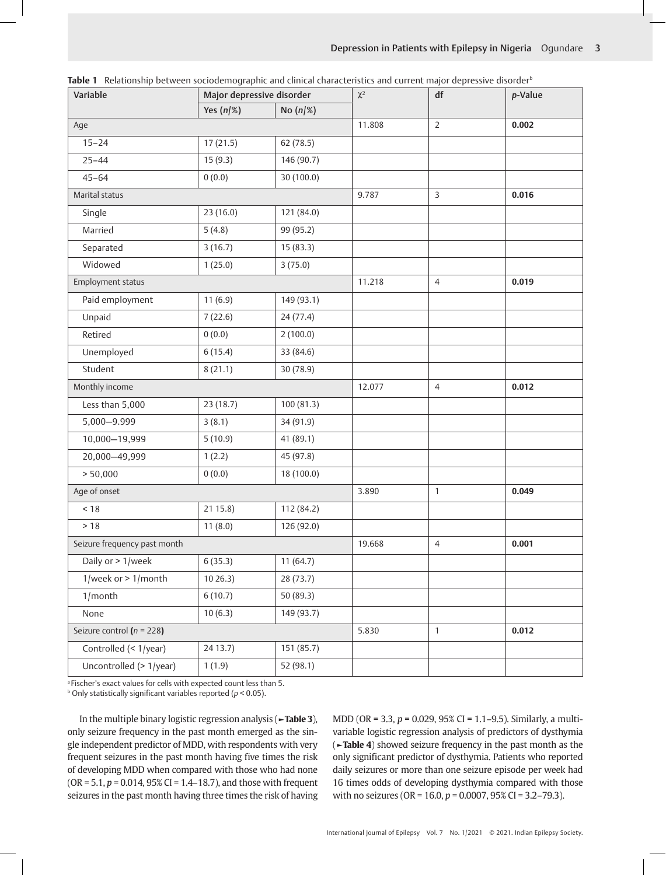| Variable                      | Major depressive disorder |             | $\chi^2$ | df             | p-Value |
|-------------------------------|---------------------------|-------------|----------|----------------|---------|
|                               | Yes $(n/\%)$              | No $(n/\%)$ |          |                |         |
| Age                           |                           |             | 11.808   | $\mathsf{2}\,$ | 0.002   |
| $15 - 24$                     | 17(21.5)                  | 62 (78.5)   |          |                |         |
| $25 - 44$                     | 15(9.3)                   | 146 (90.7)  |          |                |         |
| $45 - 64$                     | 0(0.0)                    | 30 (100.0)  |          |                |         |
| Marital status                |                           |             | 9.787    | $\overline{3}$ | 0.016   |
| Single                        | 23(16.0)                  | 121 (84.0)  |          |                |         |
| Married                       | 5(4.8)                    | 99 (95.2)   |          |                |         |
| Separated                     | 3(16.7)                   | 15(83.3)    |          |                |         |
| Widowed                       | 1(25.0)                   | 3(75.0)     |          |                |         |
| Employment status             |                           |             | 11.218   | $\overline{4}$ | 0.019   |
| Paid employment               | 11(6.9)                   | 149 (93.1)  |          |                |         |
| Unpaid                        | 7(22.6)                   | 24(77.4)    |          |                |         |
| Retired                       | 0(0.0)                    | 2(100.0)    |          |                |         |
| Unemployed                    | 6(15.4)                   | 33 (84.6)   |          |                |         |
| Student                       | 8(21.1)                   | 30 (78.9)   |          |                |         |
| Monthly income                |                           |             | 12.077   | $\overline{4}$ | 0.012   |
| Less than 5,000               | 23 (18.7)                 | 100(81.3)   |          |                |         |
| 5,000-9.999                   | 3(8.1)                    | 34 (91.9)   |          |                |         |
| 10,000-19,999                 | 5(10.9)                   | 41 (89.1)   |          |                |         |
| 20,000-49,999                 | 1(2.2)                    | 45 (97.8)   |          |                |         |
| > 50,000                      | 0(0.0)                    | 18 (100.0)  |          |                |         |
| Age of onset                  |                           |             | 3.890    | $\mathbf{1}$   | 0.049   |
| < 18                          | 21 15.8)                  | 112 (84.2)  |          |                |         |
| $>18$                         | 11(8.0)                   | 126 (92.0)  |          |                |         |
| Seizure frequency past month  |                           |             | 19.668   | $\overline{4}$ | 0.001   |
| Daily or > 1/week             | 6(35.3)                   | 11(64.7)    |          |                |         |
| 1/week or $> 1$ /month        | 1026.3)                   | 28(73.7)    |          |                |         |
| 1/month                       | 6(10.7)                   | 50 (89.3)   |          |                |         |
| None                          | 10(6.3)                   | 149 (93.7)  |          |                |         |
| Seizure control ( $n = 228$ ) |                           |             | 5.830    | $\mathbf{1}$   | 0.012   |
| Controlled (< 1/year)         | 24 13.7)                  | 151 (85.7)  |          |                |         |
| Uncontrolled (> 1/year)       | 1(1.9)                    | 52 (98.1)   |          |                |         |

Table 1 Relationship between sociodemographic and clinical characteristics and current major depressive disorder<sup>b</sup>

a Fischer's exact values for cells with expected count less than 5.

b Only statistically significant variables reported (*p* < 0.05).

In the multiple binary logistic regression analysis (**►Table 3**), only seizure frequency in the past month emerged as the single independent predictor of MDD, with respondents with very frequent seizures in the past month having five times the risk of developing MDD when compared with those who had none (OR = 5.1, *p* = 0.014, 95% CI = 1.4–18.7), and those with frequent seizures in the past month having three times the risk of having

MDD (OR = 3.3, *p* = 0.029, 95% CI = 1.1–9.5). Similarly, a multivariable logistic regression analysis of predictors of dysthymia (**►Table 4**) showed seizure frequency in the past month as the only significant predictor of dysthymia. Patients who reported daily seizures or more than one seizure episode per week had 16 times odds of developing dysthymia compared with those with no seizures (OR = 16.0, *p* = 0.0007, 95% CI = 3.2–79.3).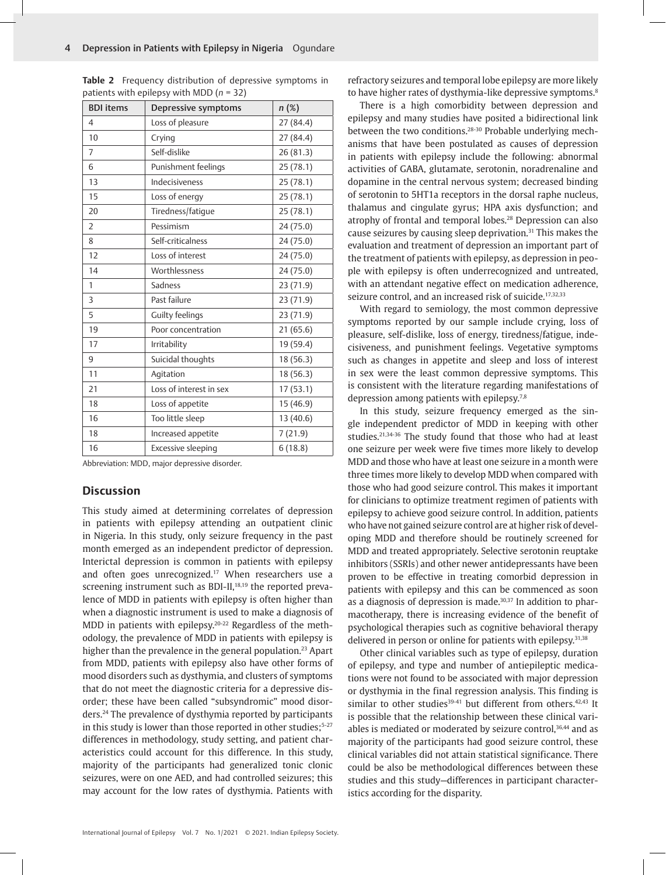| <b>BDI</b> items | Depressive symptoms     | $n(\%)$   |  |
|------------------|-------------------------|-----------|--|
| $\overline{4}$   | Loss of pleasure        | 27 (84.4) |  |
| 10               | Crying                  | 27 (84.4) |  |
| $\overline{7}$   | Self-dislike            | 26 (81.3) |  |
| 6                | Punishment feelings     | 25 (78.1) |  |
| 13               | <b>Indecisiveness</b>   | 25(78.1)  |  |
| 15               | Loss of energy          | 25 (78.1) |  |
| 20               | Tiredness/fatique       | 25(78.1)  |  |
| $\overline{2}$   | Pessimism               | 24 (75.0) |  |
| 8                | Self-criticalness       | 24 (75.0) |  |
| 12               | Loss of interest        | 24 (75.0) |  |
| 14               | Worthlessness           | 24 (75.0) |  |
| 1                | Sadness                 | 23 (71.9) |  |
| 3                | Past failure            | 23 (71.9) |  |
| 5                | Guilty feelings         | 23 (71.9) |  |
| 19               | Poor concentration      | 21(65.6)  |  |
| 17               | Irritability            | 19 (59.4) |  |
| 9                | Suicidal thoughts       | 18 (56.3) |  |
| 11               | Agitation               | 18 (56.3) |  |
| 21               | Loss of interest in sex | 17(53.1)  |  |
| 18               | Loss of appetite        | 15 (46.9) |  |
| 16               | Too little sleep        | 13 (40.6) |  |
| 18               | Increased appetite      | 7(21.9)   |  |
| 16               | Excessive sleeping      | 6(18.8)   |  |

**Table 2** Frequency distribution of depressive symptoms in patients with epilepsy with MDD (*n* = 32)

Abbreviation: MDD, major depressive disorder.

## **Discussion**

This study aimed at determining correlates of depression in patients with epilepsy attending an outpatient clinic in Nigeria. In this study, only seizure frequency in the past month emerged as an independent predictor of depression. Interictal depression is common in patients with epilepsy and often goes unrecognized.17 When researchers use a screening instrument such as BDI-II,<sup>18,19</sup> the reported prevalence of MDD in patients with epilepsy is often higher than when a diagnostic instrument is used to make a diagnosis of MDD in patients with epilepsy.<sup>20-22</sup> Regardless of the methodology, the prevalence of MDD in patients with epilepsy is higher than the prevalence in the general population.<sup>23</sup> Apart from MDD, patients with epilepsy also have other forms of mood disorders such as dysthymia, and clusters of symptoms that do not meet the diagnostic criteria for a depressive disorder; these have been called "subsyndromic" mood disorders.24 The prevalence of dysthymia reported by participants in this study is lower than those reported in other studies;<sup>5-27</sup> differences in methodology, study setting, and patient characteristics could account for this difference. In this study, majority of the participants had generalized tonic clonic seizures, were on one AED, and had controlled seizures; this may account for the low rates of dysthymia. Patients with

refractory seizures and temporal lobe epilepsy are more likely to have higher rates of dysthymia-like depressive symptoms.<sup>8</sup>

There is a high comorbidity between depression and epilepsy and many studies have posited a bidirectional link between the two conditions.<sup>28-30</sup> Probable underlying mechanisms that have been postulated as causes of depression in patients with epilepsy include the following: abnormal activities of GABA, glutamate, serotonin, noradrenaline and dopamine in the central nervous system; decreased binding of serotonin to 5HT1a receptors in the dorsal raphe nucleus, thalamus and cingulate gyrus; HPA axis dysfunction; and atrophy of frontal and temporal lobes.28 Depression can also cause seizures by causing sleep deprivation.31 This makes the evaluation and treatment of depression an important part of the treatment of patients with epilepsy, as depression in people with epilepsy is often underrecognized and untreated, with an attendant negative effect on medication adherence, seizure control, and an increased risk of suicide.<sup>17,32,33</sup>

With regard to semiology, the most common depressive symptoms reported by our sample include crying, loss of pleasure, self-dislike, loss of energy, tiredness/fatigue, indecisiveness, and punishment feelings. Vegetative symptoms such as changes in appetite and sleep and loss of interest in sex were the least common depressive symptoms. This is consistent with the literature regarding manifestations of depression among patients with epilepsy.7,8

In this study, seizure frequency emerged as the single independent predictor of MDD in keeping with other studies.21,34-36 The study found that those who had at least one seizure per week were five times more likely to develop MDD and those who have at least one seizure in a month were three times more likely to develop MDD when compared with those who had good seizure control. This makes it important for clinicians to optimize treatment regimen of patients with epilepsy to achieve good seizure control. In addition, patients who have not gained seizure control are at higher risk of developing MDD and therefore should be routinely screened for MDD and treated appropriately. Selective serotonin reuptake inhibitors (SSRIs) and other newer antidepressants have been proven to be effective in treating comorbid depression in patients with epilepsy and this can be commenced as soon as a diagnosis of depression is made.<sup>30,37</sup> In addition to pharmacotherapy, there is increasing evidence of the benefit of psychological therapies such as cognitive behavioral therapy delivered in person or online for patients with epilepsy.<sup>31,38</sup>

Other clinical variables such as type of epilepsy, duration of epilepsy, and type and number of antiepileptic medications were not found to be associated with major depression or dysthymia in the final regression analysis. This finding is similar to other studies<sup>39-41</sup> but different from others.<sup>42,43</sup> It is possible that the relationship between these clinical variables is mediated or moderated by seizure control,<sup>36,44</sup> and as majority of the participants had good seizure control, these clinical variables did not attain statistical significance. There could be also be methodological differences between these studies and this study—differences in participant characteristics according for the disparity.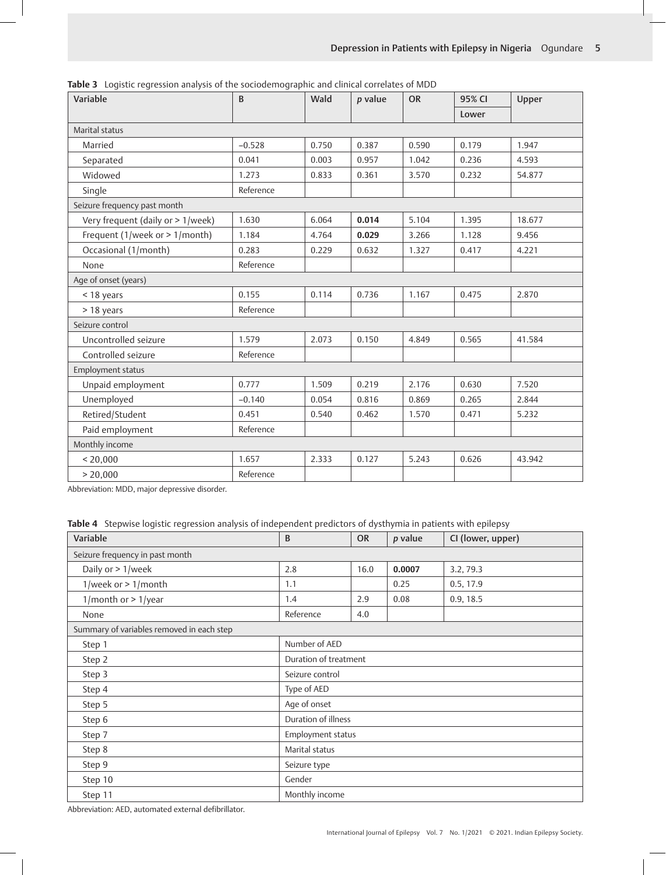| Variable                          | $\mathbf{B}$ | Wald  | p value | <b>OR</b> | 95% CI | Upper  |
|-----------------------------------|--------------|-------|---------|-----------|--------|--------|
|                                   |              |       |         |           | Lower  |        |
| Marital status                    |              |       |         |           |        |        |
| Married                           | $-0.528$     | 0.750 | 0.387   | 0.590     | 0.179  | 1.947  |
| Separated                         | 0.041        | 0.003 | 0.957   | 1.042     | 0.236  | 4.593  |
| Widowed                           | 1.273        | 0.833 | 0.361   | 3.570     | 0.232  | 54.877 |
| Single                            | Reference    |       |         |           |        |        |
| Seizure frequency past month      |              |       |         |           |        |        |
| Very frequent (daily or > 1/week) | 1.630        | 6.064 | 0.014   | 5.104     | 1.395  | 18.677 |
| Frequent (1/week or > 1/month)    | 1.184        | 4.764 | 0.029   | 3.266     | 1.128  | 9.456  |
| Occasional (1/month)              | 0.283        | 0.229 | 0.632   | 1.327     | 0.417  | 4.221  |
| None                              | Reference    |       |         |           |        |        |
| Age of onset (years)              |              |       |         |           |        |        |
| < 18 years                        | 0.155        | 0.114 | 0.736   | 1.167     | 0.475  | 2.870  |
| > 18 years                        | Reference    |       |         |           |        |        |
| Seizure control                   |              |       |         |           |        |        |
| Uncontrolled seizure              | 1.579        | 2.073 | 0.150   | 4.849     | 0.565  | 41.584 |
| Controlled seizure                | Reference    |       |         |           |        |        |
| Employment status                 |              |       |         |           |        |        |
| Unpaid employment                 | 0.777        | 1.509 | 0.219   | 2.176     | 0.630  | 7.520  |
| Unemployed                        | $-0.140$     | 0.054 | 0.816   | 0.869     | 0.265  | 2.844  |
| Retired/Student                   | 0.451        | 0.540 | 0.462   | 1.570     | 0.471  | 5.232  |
| Paid employment                   | Reference    |       |         |           |        |        |
| Monthly income                    |              |       |         |           |        |        |
| < 20,000                          | 1.657        | 2.333 | 0.127   | 5.243     | 0.626  | 43.942 |
| > 20,000                          | Reference    |       |         |           |        |        |

**Table 3** Logistic regression analysis of the sociodemographic and clinical correlates of MDD

Abbreviation: MDD, major depressive disorder.

**Table 4** Stepwise logistic regression analysis of independent predictors of dysthymia in patients with epilepsy

| Variable                                  | B                     | <b>OR</b> | $p$ value | CI (lower, upper) |  |
|-------------------------------------------|-----------------------|-----------|-----------|-------------------|--|
| Seizure frequency in past month           |                       |           |           |                   |  |
| Daily or > 1/week                         | 2.8                   | 16.0      | 0.0007    | 3.2, 79.3         |  |
| 1/week or $> 1$ /month                    | 1.1                   |           | 0.25      | 0.5, 17.9         |  |
| 1/month or $> 1$ /year                    | 1.4                   | 2.9       | 0.08      | 0.9, 18.5         |  |
| None                                      | Reference             | 4.0       |           |                   |  |
| Summary of variables removed in each step |                       |           |           |                   |  |
| Step 1                                    | Number of AED         |           |           |                   |  |
| Step 2                                    | Duration of treatment |           |           |                   |  |
| Step 3                                    | Seizure control       |           |           |                   |  |
| Step 4                                    | Type of AED           |           |           |                   |  |
| Step 5                                    | Age of onset          |           |           |                   |  |
| Step 6                                    | Duration of illness   |           |           |                   |  |
| Step 7                                    | Employment status     |           |           |                   |  |
| Step 8                                    | Marital status        |           |           |                   |  |
| Step 9                                    | Seizure type          |           |           |                   |  |
| Step 10                                   | Gender                |           |           |                   |  |
| Step 11                                   | Monthly income        |           |           |                   |  |

Abbreviation: AED, automated external defibrillator.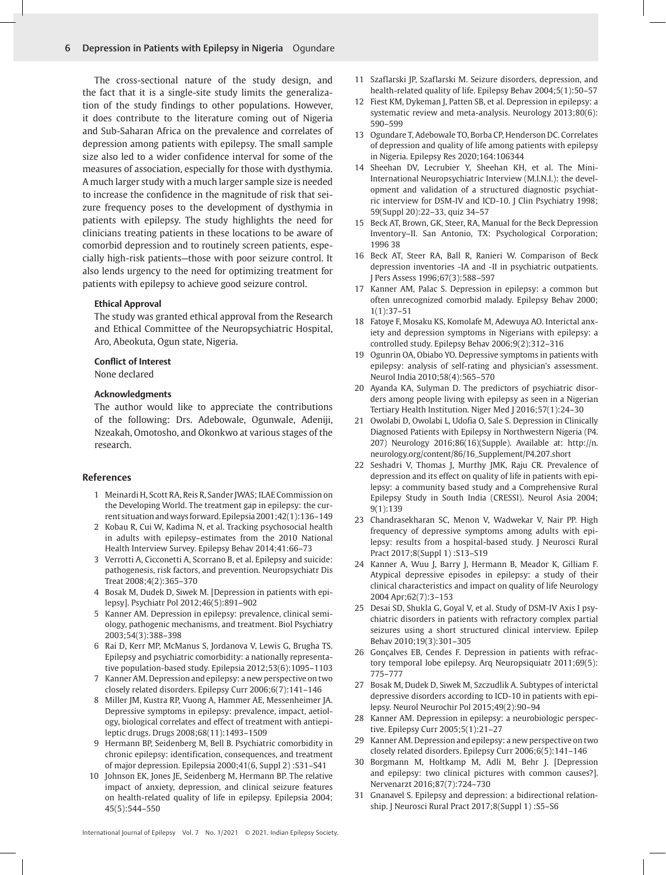The cross-sectional nature of the study design, and the fact that it is a single-site study limits the generalization of the study findings to other populations. However, it does contribute to the literature coming out of Nigeria and Sub-Saharan Africa on the prevalence and correlates of depression among patients with epilepsy. The small sample size also led to a wider confidence interval for some of the measures of association, especially for those with dysthymia. A much larger study with a much larger sample size is needed to increase the confidence in the magnitude of risk that seizure frequency poses to the development of dysthymia in patients with epilepsy. The study highlights the need for clinicians treating patients in these locations to be aware of comorbid depression and to routinely screen patients, especially high-risk patients—those with poor seizure control. It also lends urgency to the need for optimizing treatment for patients with epilepsy to achieve good seizure control.

#### **Ethical Approval**

The study was granted ethical approval from the Research and Ethical Committee of the Neuropsychiatric Hospital, Aro, Abeokuta, Ogun state, Nigeria.

#### **Conflict of Interest**

None declared

#### **Acknowledgments**

The author would like to appreciate the contributions of the following: Drs. Adebowale, Ogunwale, Adeniji, Nzeakah, Omotosho, and Okonkwo at various stages of the research.

#### **References**

- 1 Meinardi H, Scott RA, Reis R, Sander JWAS; ILAE Commission on the Developing World. The treatment gap in epilepsy: the current situation and ways forward. Epilepsia 2001;42(1):136–149
- 2 Kobau R, Cui W, Kadima N, et al. Tracking psychosocial health in adults with epilepsy–estimates from the 2010 National Health Interview Survey. Epilepsy Behav 2014;41:66–73
- 3 Verrotti A, Cicconetti A, Scorrano B, et al. Epilepsy and suicide: pathogenesis, risk factors, and prevention. Neuropsychiatr Dis Treat 2008;4(2):365–370
- 4 Bosak M, Dudek D, Siwek M. [Depression in patients with epilepsy]. Psychiatr Pol 2012;46(5):891–902
- 5 Kanner AM. Depression in epilepsy: prevalence, clinical semiology, pathogenic mechanisms, and treatment. Biol Psychiatry 2003;54(3):388–398
- 6 Rai D, Kerr MP, McManus S, Jordanova V, Lewis G, Brugha TS. Epilepsy and psychiatric comorbidity: a nationally representative population-based study. Epilepsia 2012;53(6):1095–1103
- 7 Kanner AM. Depression and epilepsy: a new perspective on two closely related disorders. Epilepsy Curr 2006;6(7):141–146
- 8 Miller JM, Kustra RP, Vuong A, Hammer AE, Messenheimer JA. Depressive symptoms in epilepsy: prevalence, impact, aetiology, biological correlates and effect of treatment with antiepileptic drugs. Drugs 2008;68(11):1493–1509
- 9 Hermann BP, Seidenberg M, Bell B. Psychiatric comorbidity in chronic epilepsy: identification, consequences, and treatment of major depression. Epilepsia 2000;41(6, Suppl 2) :S31–S41
- 10 Johnson EK, Jones JE, Seidenberg M, Hermann BP. The relative impact of anxiety, depression, and clinical seizure features on health-related quality of life in epilepsy. Epilepsia 2004; 45(5):544–550
- 11 Szaflarski JP, Szaflarski M. Seizure disorders, depression, and health-related quality of life. Epilepsy Behav 2004;5(1):50–57
- 12 Fiest KM, Dykeman J, Patten SB, et al. Depression in epilepsy: a systematic review and meta-analysis. Neurology 2013;80(6): 590–599
- 13 Ogundare T, Adebowale TO, Borba CP, Henderson DC. Correlates of depression and quality of life among patients with epilepsy in Nigeria. Epilepsy Res 2020;164:106344
- 14 Sheehan DV, Lecrubier Y, Sheehan KH, et al. The Mini-International Neuropsychiatric Interview (M.I.N.I.): the development and validation of a structured diagnostic psychiatric interview for DSM-IV and ICD-10. J Clin Psychiatry 1998; 59(Suppl 20):22–33, quiz 34–57
- 15 Beck AT, Brown, GK, Steer, RA, Manual for the Beck Depression Inventory–II. San Antonio, TX: Psychological Corporation; 1996 38
- 16 Beck AT, Steer RA, Ball R, Ranieri W. Comparison of Beck depression inventories -IA and -II in psychiatric outpatients. J Pers Assess 1996;67(3):588–597
- 17 Kanner AM, Palac S. Depression in epilepsy: a common but often unrecognized comorbid malady. Epilepsy Behav 2000; 1(1):37–51
- 18 Fatoye F, Mosaku KS, Komolafe M, Adewuya AO. Interictal anxiety and depression symptoms in Nigerians with epilepsy: a controlled study. Epilepsy Behav 2006;9(2):312–316
- 19 Ogunrin OA, Obiabo YO. Depressive symptoms in patients with epilepsy: analysis of self-rating and physician's assessment. Neurol India 2010;58(4):565–570
- 20 Ayanda KA, Sulyman D. The predictors of psychiatric disorders among people living with epilepsy as seen in a Nigerian Tertiary Health Institution. Niger Med J 2016;57(1):24–30
- 21 Owolabi D, Owolabi L, Udofia O, Sale S. Depression in Clinically Diagnosed Patients with Epilepsy in Northwestern Nigeria (P4. 207) Neurology 2016;86(16)(Supple). Available at: http://n. neurology.org/content/86/16\_Supplement/P4.207.short
- 22 Seshadri V, Thomas J, Murthy JMK, Raju CR. Prevalence of depression and its effect on quality of life in patients with epilepsy: a community based study and a Comprehensive Rural Epilepsy Study in South India (CRESSI). Neurol Asia 2004; 9(1):139
- 23 Chandrasekharan SC, Menon V, Wadwekar V, Nair PP. High frequency of depressive symptoms among adults with epilepsy: results from a hospital-based study. J Neurosci Rural Pract 2017;8(Suppl 1) :S13–S19
- 24 Kanner A, Wuu J, Barry J, Hermann B, Meador K, Gilliam F. Atypical depressive episodes in epilepsy: a study of their clinical characteristics and impact on quality of life Neurology 2004 Apr;62(7):3–153
- 25 Desai SD, Shukla G, Goyal V, et al. Study of DSM-IV Axis I psychiatric disorders in patients with refractory complex partial seizures using a short structured clinical interview. Epilep Behav 2010;19(3):301–305
- 26 Gonçalves EB, Cendes F. Depression in patients with refractory temporal lobe epilepsy. Arq Neuropsiquiatr 2011;69(5): 775–777
- 27 Bosak M, Dudek D, Siwek M, Szczudlik A. Subtypes of interictal depressive disorders according to ICD-10 in patients with epilepsy. Neurol Neurochir Pol 2015;49(2):90–94
- 28 Kanner AM. Depression in epilepsy: a neurobiologic perspective. Epilepsy Curr 2005;5(1):21–27
- 29 Kanner AM. Depression and epilepsy: a new perspective on two closely related disorders. Epilepsy Curr 2006;6(5):141–146
- 30 Borgmann M, Holtkamp M, Adli M, Behr J. [Depression and epilepsy: two clinical pictures with common causes?]. Nervenarzt 2016;87(7):724–730
- 31 Gnanavel S. Epilepsy and depression: a bidirectional relationship. J Neurosci Rural Pract 2017;8(Suppl 1) :S5–S6